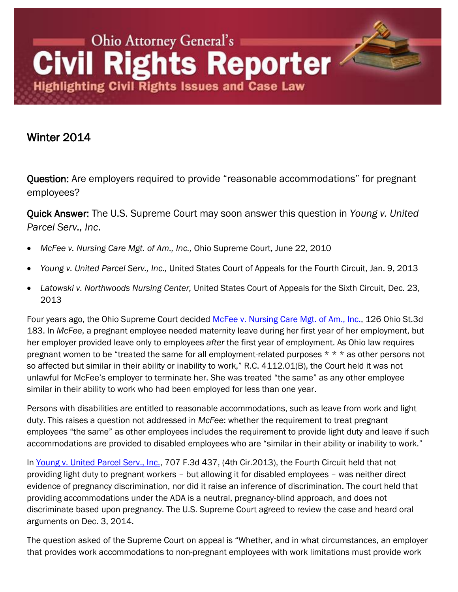## Ohio Attorney General's **Civil Rights Reporter Highlighting Civil Rights Issues and Case Law**

## Winter 2014

Question: Are employers required to provide "reasonable accommodations" for pregnant employees?

Quick Answer: The U.S. Supreme Court may soon answer this question in *Young v. United Parcel Serv., Inc*.

- *McFee v. Nursing Care Mgt. of Am., Inc.,* Ohio Supreme Court, June 22, 2010
- *Young v. United Parcel Serv., Inc.,* United States Court of Appeals for the Fourth Circuit, Jan. 9, 2013
- *Latowski v. Northwoods Nursing Center,* United States Court of Appeals for the Sixth Circuit, Dec. 23, 2013

Four years ago, the Ohio Supreme Court decided [McFee v. Nursing Care Mgt. of Am., Inc.,](http://www.sconet.state.oh.us/rod/docs/pdf/0/2010/2010-ohio-2744.pdf) 126 Ohio St.3d 183. In *McFee*, a pregnant employee needed maternity leave during her first year of her employment, but her employer provided leave only to employees *after* the first year of employment. As Ohio law requires pregnant women to be "treated the same for all employment-related purposes \* \* \* as other persons not so affected but similar in their ability or inability to work," R.C. 4112.01(B), the Court held it was not unlawful for McFee's employer to terminate her. She was treated "the same" as any other employee similar in their ability to work who had been employed for less than one year.

Persons with disabilities are entitled to reasonable accommodations, such as leave from work and light duty. This raises a question not addressed in *McFee*: whether the requirement to treat pregnant employees "the same" as other employees includes the requirement to provide light duty and leave if such accommodations are provided to disabled employees who are "similar in their ability or inability to work."

In [Young v. United Parcel Serv., Inc.,](http://www.virginiaemploymentattorneyblog.com/Young%20v%20United%20Parcel%20Service%20Inc.pdf) 707 F.3d 437, (4th Cir.2013), the Fourth Circuit held that not providing light duty to pregnant workers – but allowing it for disabled employees – was neither direct evidence of pregnancy discrimination, nor did it raise an inference of discrimination. The court held that providing accommodations under the ADA is a neutral, pregnancy-blind approach, and does not discriminate based upon pregnancy. The U.S. Supreme Court agreed to review the case and heard oral arguments on Dec. 3, 2014.

The question asked of the Supreme Court on appeal is "Whether, and in what circumstances, an employer that provides work accommodations to non-pregnant employees with work limitations must provide work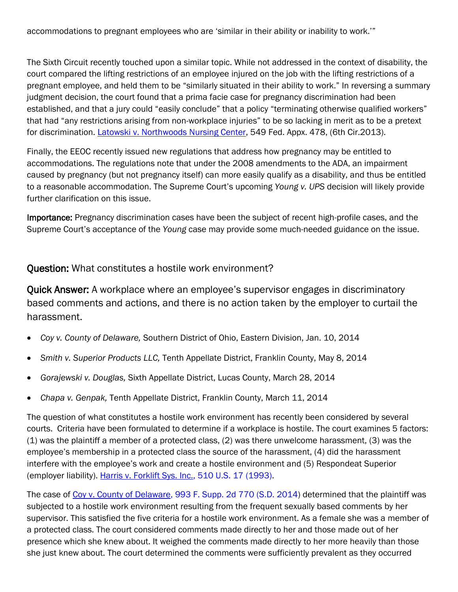accommodations to pregnant employees who are "similar in their ability or inability to work.""

The Sixth Circuit recently touched upon a similar topic. While not addressed in the context of disability, the court compared the lifting restrictions of an employee injured on the job with the lifting restrictions of a pregnant employee, and held them to be "similarly situated in their ability to work." In reversing a summary judgment decision, the court found that a prima facie case for pregnancy discrimination had been established, and that a jury could "easily conclude" that a policy "terminating otherwise qualified workers" that had "any restrictions arising from non-workplace injuries" to be so lacking in merit as to be a pretext for discrimination. [Latowski v. Northwoods Nursing Center,](http://www.ca6.uscourts.gov/opinions.pdf/13a1047n-06.pdf) 549 Fed. Appx. 478, (6th Cir.2013).

Finally, the EEOC recently issued new regulations that address how pregnancy may be entitled to accommodations. The regulations note that under the 2008 amendments to the ADA, an impairment caused by pregnancy (but not pregnancy itself) can more easily qualify as a disability, and thus be entitled to a reasonable accommodation. The Supreme Court"s upcoming *Young v. UPS* decision will likely provide further clarification on this issue.

Importance: Pregnancy discrimination cases have been the subject of recent high-profile cases, and the Supreme Court"s acceptance of the *Young* case may provide some much-needed guidance on the issue.

Question: What constitutes a hostile work environment?

Quick Answer: A workplace where an employee"s supervisor engages in discriminatory based comments and actions, and there is no action taken by the employer to curtail the harassment.

- *Coy v. County of Delaware,* Southern District of Ohio, Eastern Division, Jan. 10, 2014
- *Smith v. Superior Products LLC,* Tenth Appellate District, Franklin County, May 8, 2014
- *Gorajewski v. Douglas,* Sixth Appellate District, Lucas County, March 28, 2014
- *Chapa v. Genpak,* Tenth Appellate District, Franklin County, March 11, 2014

The question of what constitutes a hostile work environment has recently been considered by several courts. Criteria have been formulated to determine if a workplace is hostile. The court examines 5 factors: (1) was the plaintiff a member of a protected class, (2) was there unwelcome harassment, (3) was the employee's membership in a protected class the source of the harassment, (4) did the harassment interfere with the employee"s work and create a hostile environment and (5) Respondeat Superior (employer liability). [Harris v. Forklift Sys. Inc., 510 U.S. 17 \(1993\).](http://caselaw.lp.findlaw.com/scripts/getcase.pl?navby=case&court=us&vol=510&page=17)

The case of [Coy v. County of Delaware, 993 F. Supp. 2d 770 \(S.D. 2014\)](http://www.leagle.com/decision/In%20FDCO%2020140205795) determined that the plaintiff was subjected to a hostile work environment resulting from the frequent sexually based comments by her supervisor. This satisfied the five criteria for a hostile work environment. As a female she was a member of a protected class. The court considered comments made directly to her and those made out of her presence which she knew about. It weighed the comments made directly to her more heavily than those she just knew about. The court determined the comments were sufficiently prevalent as they occurred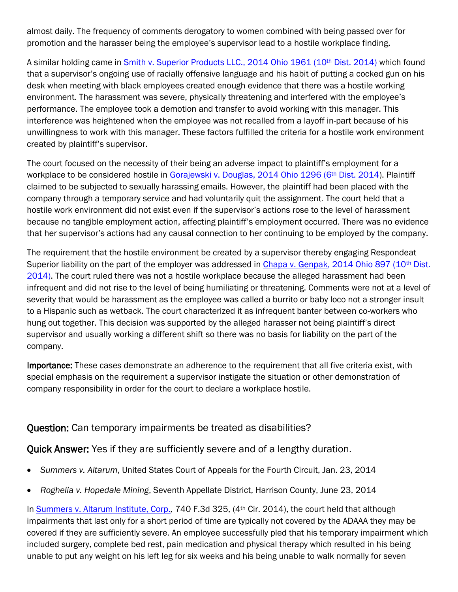almost daily. The frequency of comments derogatory to women combined with being passed over for promotion and the harasser being the employee"s supervisor lead to a hostile workplace finding.

A similar holding came in [Smith v. Superior Products LLC., 2014 Ohio 1961 \(10](http://www.sconet.state.oh.us/rod/docs/pdf/10/2014/2014-ohio-1961.pdf)th Dist. 2014) which found that a supervisor"s ongoing use of racially offensive language and his habit of putting a cocked gun on his desk when meeting with black employees created enough evidence that there was a hostile working environment. The harassment was severe, physically threatening and interfered with the employee"s performance. The employee took a demotion and transfer to avoid working with this manager. This interference was heightened when the employee was not recalled from a layoff in-part because of his unwillingness to work with this manager. These factors fulfilled the criteria for a hostile work environment created by plaintiff"s supervisor.

The court focused on the necessity of their being an adverse impact to plaintiff"s employment for a workplace to be considered hostile in [Gorajewski v. Douglas, 2014 Ohio 1296 \(6](http://www.sconet.state.oh.us/rod/docs/pdf/6/2014/2014-ohio-1296.pdf)<sup>th</sup> Dist. 2014). Plaintiff claimed to be subjected to sexually harassing emails. However, the plaintiff had been placed with the company through a temporary service and had voluntarily quit the assignment. The court held that a hostile work environment did not exist even if the supervisor"s actions rose to the level of harassment because no tangible employment action, affecting plaintiff"s employment occurred. There was no evidence that her supervisor"s actions had any causal connection to her continuing to be employed by the company.

The requirement that the hostile environment be created by a supervisor thereby engaging Respondeat Superior liability on the part of the employer was addressed in [Chapa v. Genpak, 2014 Ohio 897 \(10](http://www.sconet.state.oh.us/rod/docs/pdf/10/2014/2014-ohio-897.pdf)<sup>th</sup> Dist. [2014\).](http://www.sconet.state.oh.us/rod/docs/pdf/10/2014/2014-ohio-897.pdf) The court ruled there was not a hostile workplace because the alleged harassment had been infrequent and did not rise to the level of being humiliating or threatening. Comments were not at a level of severity that would be harassment as the employee was called a burrito or baby loco not a stronger insult to a Hispanic such as wetback. The court characterized it as infrequent banter between co-workers who hung out together. This decision was supported by the alleged harasser not being plaintiff"s direct supervisor and usually working a different shift so there was no basis for liability on the part of the company.

Importance: These cases demonstrate an adherence to the requirement that all five criteria exist, with special emphasis on the requirement a supervisor instigate the situation or other demonstration of company responsibility in order for the court to declare a workplace hostile.

## Question: Can temporary impairments be treated as disabilities?

Quick Answer: Yes if they are sufficiently severe and of a lengthy duration.

- *Summers v. Altarum*, United States Court of Appeals for the Fourth Circuit, Jan. 23, 2014
- *Roghelia v. Hopedale Mining*, Seventh Appellate District, Harrison County, June 23, 2014

In [Summers v. Altarum Institute, Corp.](http://www.ca4.uscourts.gov/Opinions/Published/131645.P.pdf)*,* 740 F.3d 325, (4th Cir. 2014), the court held that although impairments that last only for a short period of time are typically not covered by the ADAAA they may be covered if they are sufficiently severe. An employee successfully pled that his temporary impairment which included surgery, complete bed rest, pain medication and physical therapy which resulted in his being unable to put any weight on his left leg for six weeks and his being unable to walk normally for seven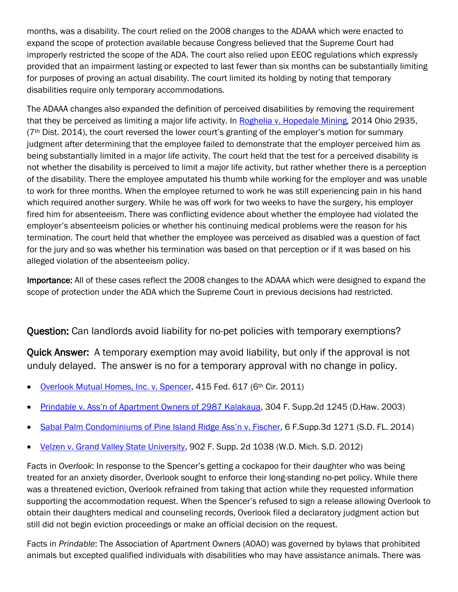months, was a disability. The court relied on the 2008 changes to the ADAAA which were enacted to expand the scope of protection available because Congress believed that the Supreme Court had improperly restricted the scope of the ADA. The court also relied upon EEOC regulations which expressly provided that an impairment lasting or expected to last fewer than six months can be substantially limiting for purposes of proving an actual disability. The court limited its holding by noting that temporary disabilities require only temporary accommodations.

The ADAAA changes also expanded the definition of perceived disabilities by removing the requirement that they be perceived as limiting a major life activity. In [Roghelia v. Hopedale Mining](http://www.supremecourt.ohio.gov/rod/docs/pdf/7/2014/2014-ohio-2935.pdf)*,* 2014 Ohio 2935,  $(7<sup>th</sup>)$  Dist. 2014), the court reversed the lower court's granting of the employer's motion for summary judgment after determining that the employee failed to demonstrate that the employer perceived him as being substantially limited in a major life activity. The court held that the test for a perceived disability is not whether the disability is perceived to limit a major life activity, but rather whether there is a perception of the disability. There the employee amputated his thumb while working for the employer and was unable to work for three months. When the employee returned to work he was still experiencing pain in his hand which required another surgery. While he was off work for two weeks to have the surgery, his employer fired him for absenteeism. There was conflicting evidence about whether the employee had violated the employer"s absenteeism policies or whether his continuing medical problems were the reason for his termination. The court held that whether the employee was perceived as disabled was a question of fact for the jury and so was whether his termination was based on that perception or if it was based on his alleged violation of the absenteeism policy.

Importance: All of these cases reflect the 2008 changes to the ADAAA which were designed to expand the scope of protection under the ADA which the Supreme Court in previous decisions had restricted.

## Question: Can landlords avoid liability for no-pet policies with temporary exemptions?

Quick Answer: A temporary exemption may avoid liability, but only if the approval is not unduly delayed. The answer is no for a temporary approval with no change in policy.

- [Overlook Mutual Homes, Inc. v. Spencer,](https://casetext.com/#!/case/overlook-mut-homes-inc-v-spencer) 415 Fed. 617 (6th Cir. 2011)
- Prindable v. Ass'n of Apartment Owners of 2987 Kalakaua, 304 F. Supp.2d 1245 (D. Haw. 2003)
- Sabal Palm Condominiums of Pine Island Ridge Ass'n v. Fischer, 6 F. Supp. 3d 1271 (S.D. FL. 2014)
- [Velzen v. Grand Valley State University,](https://casetext.com/case/velzen-v-grand-valley-state-univ) 902 F. Supp. 2d 1038 (W.D. Mich. S.D. 2012)

Facts in *Overlook*: In response to the Spencer"s getting a cockapoo for their daughter who was being treated for an anxiety disorder, Overlook sought to enforce their long-standing no-pet policy. While there was a threatened eviction, Overlook refrained from taking that action while they requested information supporting the accommodation request. When the Spencer"s refused to sign a release allowing Overlook to obtain their daughters medical and counseling records, Overlook filed a declaratory judgment action but still did not begin eviction proceedings or make an official decision on the request.

Facts in *Prindable*: The Association of Apartment Owners (AOAO) was governed by bylaws that prohibited animals but excepted qualified individuals with disabilities who may have assistance animals. There was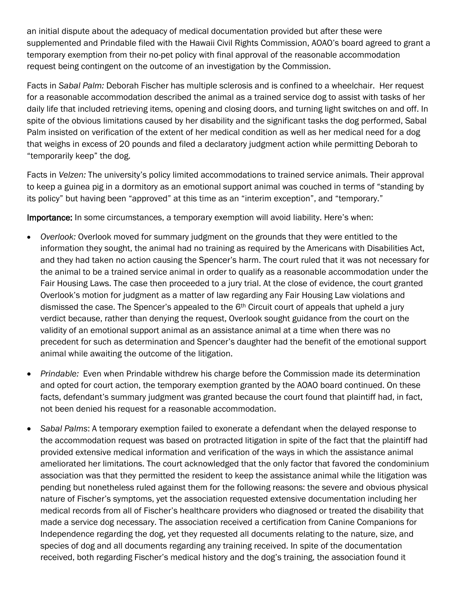an initial dispute about the adequacy of medical documentation provided but after these were supplemented and Prindable filed with the Hawaii Civil Rights Commission, AOAO"s board agreed to grant a temporary exemption from their no-pet policy with final approval of the reasonable accommodation request being contingent on the outcome of an investigation by the Commission.

Facts in *Sabal Palm:* Deborah Fischer has multiple sclerosis and is confined to a wheelchair. Her request for a reasonable accommodation described the animal as a trained service dog to assist with tasks of her daily life that included retrieving items, opening and closing doors, and turning light switches on and off. In spite of the obvious limitations caused by her disability and the significant tasks the dog performed, Sabal Palm insisted on verification of the extent of her medical condition as well as her medical need for a dog that weighs in excess of 20 pounds and filed a declaratory judgment action while permitting Deborah to "temporarily keep" the dog.

Facts in *Velzen:* The university"s policy limited accommodations to trained service animals. Their approval to keep a guinea pig in a dormitory as an emotional support animal was couched in terms of "standing by its policy" but having been "approved" at this time as an "interim exception", and "temporary."

Importance: In some circumstances, a temporary exemption will avoid liability. Here's when:

- *Overlook:* Overlook moved for summary judgment on the grounds that they were entitled to the information they sought, the animal had no training as required by the Americans with Disabilities Act, and they had taken no action causing the Spencer"s harm. The court ruled that it was not necessary for the animal to be a trained service animal in order to qualify as a reasonable accommodation under the Fair Housing Laws. The case then proceeded to a jury trial. At the close of evidence, the court granted Overlook"s motion for judgment as a matter of law regarding any Fair Housing Law violations and dismissed the case. The Spencer's appealed to the  $6<sup>th</sup>$  Circuit court of appeals that upheld a jury verdict because, rather than denying the request, Overlook sought guidance from the court on the validity of an emotional support animal as an assistance animal at a time when there was no precedent for such as determination and Spencer"s daughter had the benefit of the emotional support animal while awaiting the outcome of the litigation.
- *Prindable:* Even when Prindable withdrew his charge before the Commission made its determination and opted for court action, the temporary exemption granted by the AOAO board continued. On these facts, defendant's summary judgment was granted because the court found that plaintiff had, in fact, not been denied his request for a reasonable accommodation.
- *Sabal Palms*: A temporary exemption failed to exonerate a defendant when the delayed response to the accommodation request was based on protracted litigation in spite of the fact that the plaintiff had provided extensive medical information and verification of the ways in which the assistance animal ameliorated her limitations. The court acknowledged that the only factor that favored the condominium association was that they permitted the resident to keep the assistance animal while the litigation was pending but nonetheless ruled against them for the following reasons: the severe and obvious physical nature of Fischer"s symptoms, yet the association requested extensive documentation including her medical records from all of Fischer"s healthcare providers who diagnosed or treated the disability that made a service dog necessary. The association received a certification from Canine Companions for Independence regarding the dog, yet they requested all documents relating to the nature, size, and species of dog and all documents regarding any training received. In spite of the documentation received, both regarding Fischer"s medical history and the dog"s training, the association found it